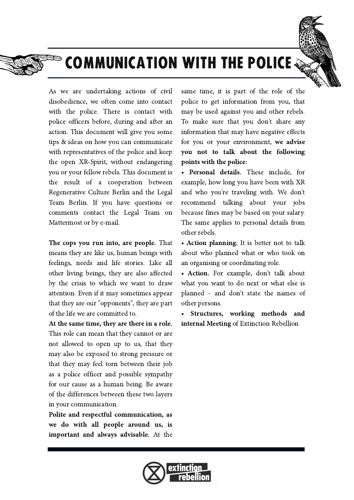

## **COMMUNICATION WITH THE POLICE**

As we are undertaking actions of civil disobedience, we often come into contact with the police. There is contact with police officers before, during and after an action. This document will give you some tips & ideas on how you can communicate with representatives of the police and keep the open XR-Spirit, without endangering you or your fellow rebels. This document is the result of a cooperation between Regenerative Culture Berlin and the Legal Team Berlin. If you have questions or comments contact the Legal Team on Mattermost or by e-mail.

The cops you run into, are people. That means they are like us, human beings with feelings, needs and life stories. Like all other living beings, they are also affected by the crisis to which we want to draw attention. Even if it may sometimes appear that they are our "opponents", they are part of the life we are committed to.

At the same time, they are there in a role. This role can mean that they cannot or are not allowed to open up to us, that they may also be exposed to strong pressure or that they may feel torn between their job as a police officer and possible sympathy for our cause as a human being. Be aware of the differences between these two layers in your communication.

Polite and respectful communication, as we do with all people around us, is **important and always advisable.** At the

same time, it is part of the role of the police to get information from you, that may be used against you and other rebels. To make sure that you don't share any information that may have negative effects for you or your environment, we advise you not to talk about the following points with the police:

• Personal details. These include, for example, how long you have been with XR and who you're traveling with. We don't recommend talking about your jobs because fines may be based on your salary. The same applies to personal details from other rebels.

• Action planning. It is better not to talk about who planned what or who took on an organising or coordinating role.

• Action. For example, don't talk about what you want to do next or what else is planned - and don't state the names of other persons.

Structures, working methods and internal Meeting of Extinction Rebellion